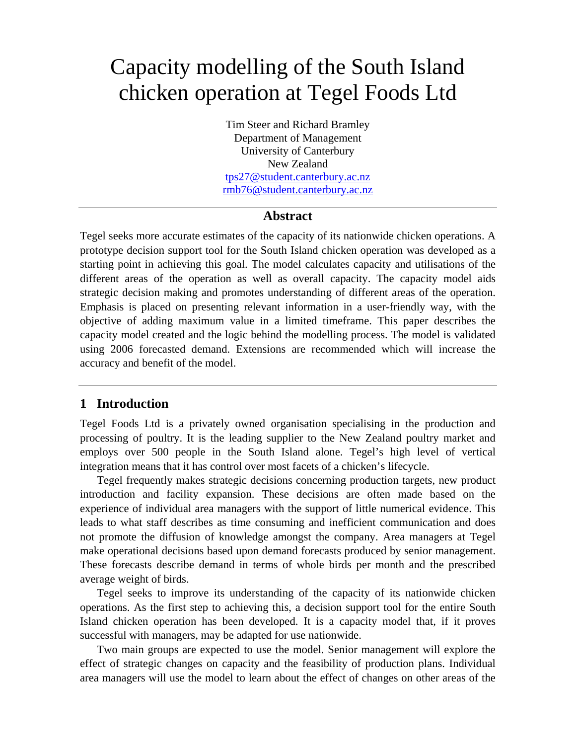# Capacity modelling of the South Island chicken operation at Tegel Foods Ltd

Tim Steer and Richard Bramley Department of Management University of Canterbury New Zealand [tps27@student.canterbury.ac.nz](mailto:tps27@student.canterbury.ac.nz) [rmb76@student.canterbury.ac.nz](mailto:rmb76@student.canterbury.ac.nz)

#### **Abstract**

Tegel seeks more accurate estimates of the capacity of its nationwide chicken operations. A prototype decision support tool for the South Island chicken operation was developed as a starting point in achieving this goal. The model calculates capacity and utilisations of the different areas of the operation as well as overall capacity. The capacity model aids strategic decision making and promotes understanding of different areas of the operation. Emphasis is placed on presenting relevant information in a user-friendly way, with the objective of adding maximum value in a limited timeframe. This paper describes the capacity model created and the logic behind the modelling process. The model is validated using 2006 forecasted demand. Extensions are recommended which will increase the accuracy and benefit of the model.

## **1 Introduction**

Tegel Foods Ltd is a privately owned organisation specialising in the production and processing of poultry. It is the leading supplier to the New Zealand poultry market and employs over 500 people in the South Island alone. Tegel's high level of vertical integration means that it has control over most facets of a chicken's lifecycle.

Tegel frequently makes strategic decisions concerning production targets, new product introduction and facility expansion. These decisions are often made based on the experience of individual area managers with the support of little numerical evidence. This leads to what staff describes as time consuming and inefficient communication and does not promote the diffusion of knowledge amongst the company. Area managers at Tegel make operational decisions based upon demand forecasts produced by senior management. These forecasts describe demand in terms of whole birds per month and the prescribed average weight of birds.

Tegel seeks to improve its understanding of the capacity of its nationwide chicken operations. As the first step to achieving this, a decision support tool for the entire South Island chicken operation has been developed. It is a capacity model that, if it proves successful with managers, may be adapted for use nationwide.

Two main groups are expected to use the model. Senior management will explore the effect of strategic changes on capacity and the feasibility of production plans. Individual area managers will use the model to learn about the effect of changes on other areas of the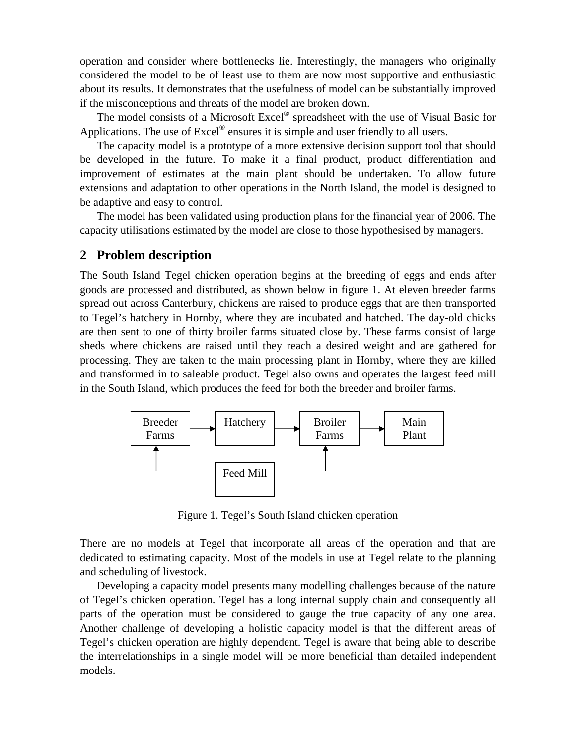operation and consider where bottlenecks lie. Interestingly, the managers who originally considered the model to be of least use to them are now most supportive and enthusiastic about its results. It demonstrates that the usefulness of model can be substantially improved if the misconceptions and threats of the model are broken down.

The model consists of a Microsoft Excel<sup>®</sup> spreadsheet with the use of Visual Basic for Applications. The use of  $\text{Excel}^{\otimes}$  ensures it is simple and user friendly to all users.

The capacity model is a prototype of a more extensive decision support tool that should be developed in the future. To make it a final product, product differentiation and improvement of estimates at the main plant should be undertaken. To allow future extensions and adaptation to other operations in the North Island, the model is designed to be adaptive and easy to control.

The model has been validated using production plans for the financial year of 2006. The capacity utilisations estimated by the model are close to those hypothesised by managers.

#### **2 Problem description**

The South Island Tegel chicken operation begins at the breeding of eggs and ends after goods are processed and distributed, as shown below in figure 1. At eleven breeder farms spread out across Canterbury, chickens are raised to produce eggs that are then transported to Tegel's hatchery in Hornby, where they are incubated and hatched. The day-old chicks are then sent to one of thirty broiler farms situated close by. These farms consist of large sheds where chickens are raised until they reach a desired weight and are gathered for processing. They are taken to the main processing plant in Hornby, where they are killed and transformed in to saleable product. Tegel also owns and operates the largest feed mill in the South Island, which produces the feed for both the breeder and broiler farms.



Figure 1. Tegel's South Island chicken operation

There are no models at Tegel that incorporate all areas of the operation and that are dedicated to estimating capacity. Most of the models in use at Tegel relate to the planning and scheduling of livestock.

Developing a capacity model presents many modelling challenges because of the nature of Tegel's chicken operation. Tegel has a long internal supply chain and consequently all parts of the operation must be considered to gauge the true capacity of any one area. Another challenge of developing a holistic capacity model is that the different areas of Tegel's chicken operation are highly dependent. Tegel is aware that being able to describe the interrelationships in a single model will be more beneficial than detailed independent models.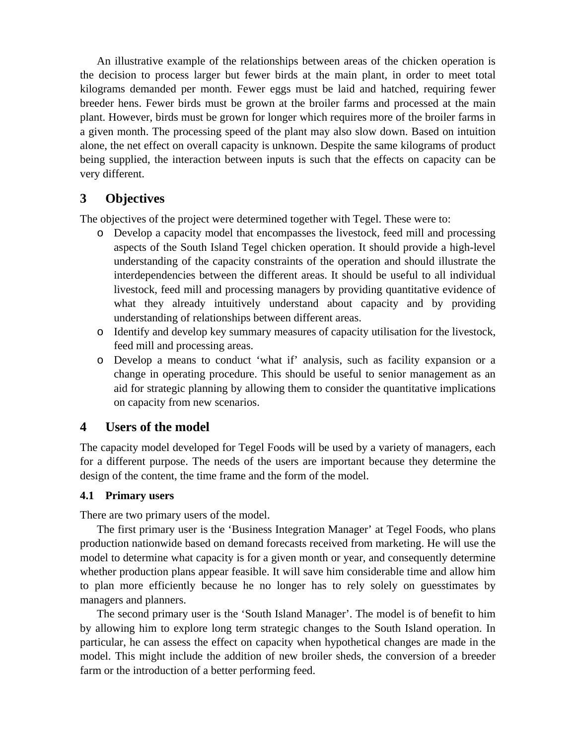An illustrative example of the relationships between areas of the chicken operation is the decision to process larger but fewer birds at the main plant, in order to meet total kilograms demanded per month. Fewer eggs must be laid and hatched, requiring fewer breeder hens. Fewer birds must be grown at the broiler farms and processed at the main plant. However, birds must be grown for longer which requires more of the broiler farms in a given month. The processing speed of the plant may also slow down. Based on intuition alone, the net effect on overall capacity is unknown. Despite the same kilograms of product being supplied, the interaction between inputs is such that the effects on capacity can be very different.

# **3 Objectives**

The objectives of the project were determined together with Tegel. These were to:

- o Develop a capacity model that encompasses the livestock, feed mill and processing aspects of the South Island Tegel chicken operation. It should provide a high-level understanding of the capacity constraints of the operation and should illustrate the interdependencies between the different areas. It should be useful to all individual livestock, feed mill and processing managers by providing quantitative evidence of what they already intuitively understand about capacity and by providing understanding of relationships between different areas.
- o Identify and develop key summary measures of capacity utilisation for the livestock, feed mill and processing areas.
- o Develop a means to conduct 'what if' analysis, such as facility expansion or a change in operating procedure. This should be useful to senior management as an aid for strategic planning by allowing them to consider the quantitative implications on capacity from new scenarios.

# **4 Users of the model**

The capacity model developed for Tegel Foods will be used by a variety of managers, each for a different purpose. The needs of the users are important because they determine the design of the content, the time frame and the form of the model.

## **4.1 Primary users**

There are two primary users of the model.

The first primary user is the 'Business Integration Manager' at Tegel Foods, who plans production nationwide based on demand forecasts received from marketing. He will use the model to determine what capacity is for a given month or year, and consequently determine whether production plans appear feasible. It will save him considerable time and allow him to plan more efficiently because he no longer has to rely solely on guesstimates by managers and planners.

The second primary user is the 'South Island Manager'. The model is of benefit to him by allowing him to explore long term strategic changes to the South Island operation. In particular, he can assess the effect on capacity when hypothetical changes are made in the model. This might include the addition of new broiler sheds, the conversion of a breeder farm or the introduction of a better performing feed.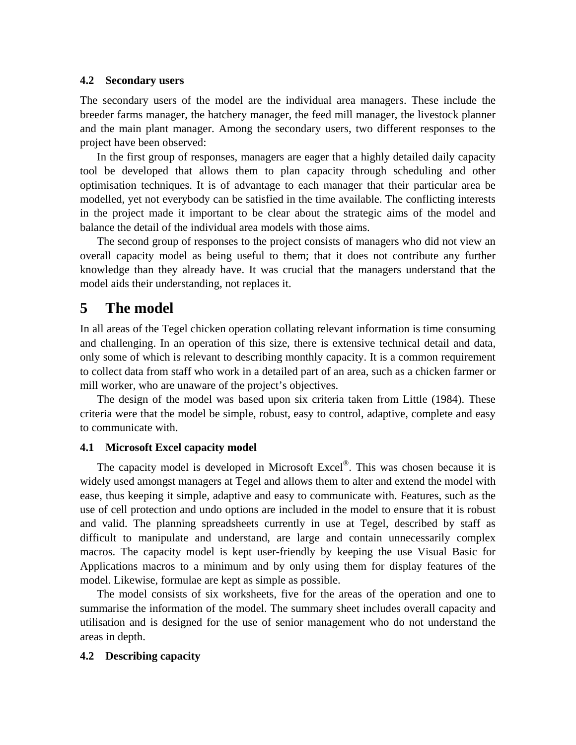#### **4.2 Secondary users**

The secondary users of the model are the individual area managers. These include the breeder farms manager, the hatchery manager, the feed mill manager, the livestock planner and the main plant manager. Among the secondary users, two different responses to the project have been observed:

In the first group of responses, managers are eager that a highly detailed daily capacity tool be developed that allows them to plan capacity through scheduling and other optimisation techniques. It is of advantage to each manager that their particular area be modelled, yet not everybody can be satisfied in the time available. The conflicting interests in the project made it important to be clear about the strategic aims of the model and balance the detail of the individual area models with those aims.

The second group of responses to the project consists of managers who did not view an overall capacity model as being useful to them; that it does not contribute any further knowledge than they already have. It was crucial that the managers understand that the model aids their understanding, not replaces it.

# **5 The model**

In all areas of the Tegel chicken operation collating relevant information is time consuming and challenging. In an operation of this size, there is extensive technical detail and data, only some of which is relevant to describing monthly capacity. It is a common requirement to collect data from staff who work in a detailed part of an area, such as a chicken farmer or mill worker, who are unaware of the project's objectives.

The design of the model was based upon six criteria taken from Little (1984). These criteria were that the model be simple, robust, easy to control, adaptive, complete and easy to communicate with.

#### **4.1 Microsoft Excel capacity model**

The capacity model is developed in Microsoft Excel®. This was chosen because it is widely used amongst managers at Tegel and allows them to alter and extend the model with ease, thus keeping it simple, adaptive and easy to communicate with. Features, such as the use of cell protection and undo options are included in the model to ensure that it is robust and valid. The planning spreadsheets currently in use at Tegel, described by staff as difficult to manipulate and understand, are large and contain unnecessarily complex macros. The capacity model is kept user-friendly by keeping the use Visual Basic for Applications macros to a minimum and by only using them for display features of the model. Likewise, formulae are kept as simple as possible.

The model consists of six worksheets, five for the areas of the operation and one to summarise the information of the model. The summary sheet includes overall capacity and utilisation and is designed for the use of senior management who do not understand the areas in depth.

#### **4.2 Describing capacity**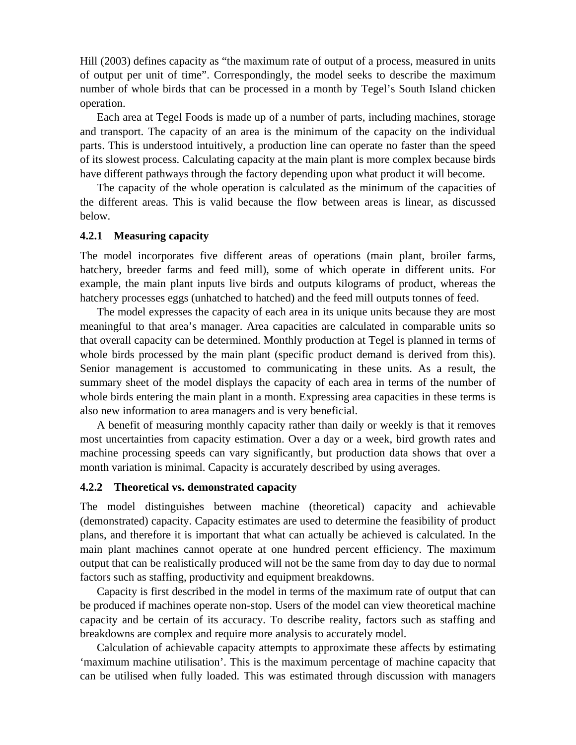Hill (2003) defines capacity as "the maximum rate of output of a process, measured in units of output per unit of time". Correspondingly, the model seeks to describe the maximum number of whole birds that can be processed in a month by Tegel's South Island chicken operation.

Each area at Tegel Foods is made up of a number of parts, including machines, storage and transport. The capacity of an area is the minimum of the capacity on the individual parts. This is understood intuitively, a production line can operate no faster than the speed of its slowest process. Calculating capacity at the main plant is more complex because birds have different pathways through the factory depending upon what product it will become.

The capacity of the whole operation is calculated as the minimum of the capacities of the different areas. This is valid because the flow between areas is linear, as discussed below.

#### **4.2.1 Measuring capacity**

The model incorporates five different areas of operations (main plant, broiler farms, hatchery, breeder farms and feed mill), some of which operate in different units. For example, the main plant inputs live birds and outputs kilograms of product, whereas the hatchery processes eggs (unhatched to hatched) and the feed mill outputs tonnes of feed.

The model expresses the capacity of each area in its unique units because they are most meaningful to that area's manager. Area capacities are calculated in comparable units so that overall capacity can be determined. Monthly production at Tegel is planned in terms of whole birds processed by the main plant (specific product demand is derived from this). Senior management is accustomed to communicating in these units. As a result, the summary sheet of the model displays the capacity of each area in terms of the number of whole birds entering the main plant in a month. Expressing area capacities in these terms is also new information to area managers and is very beneficial.

A benefit of measuring monthly capacity rather than daily or weekly is that it removes most uncertainties from capacity estimation. Over a day or a week, bird growth rates and machine processing speeds can vary significantly, but production data shows that over a month variation is minimal. Capacity is accurately described by using averages.

#### **4.2.2 Theoretical vs. demonstrated capacity**

The model distinguishes between machine (theoretical) capacity and achievable (demonstrated) capacity. Capacity estimates are used to determine the feasibility of product plans, and therefore it is important that what can actually be achieved is calculated. In the main plant machines cannot operate at one hundred percent efficiency. The maximum output that can be realistically produced will not be the same from day to day due to normal factors such as staffing, productivity and equipment breakdowns.

Capacity is first described in the model in terms of the maximum rate of output that can be produced if machines operate non-stop. Users of the model can view theoretical machine capacity and be certain of its accuracy. To describe reality, factors such as staffing and breakdowns are complex and require more analysis to accurately model.

Calculation of achievable capacity attempts to approximate these affects by estimating 'maximum machine utilisation'. This is the maximum percentage of machine capacity that can be utilised when fully loaded. This was estimated through discussion with managers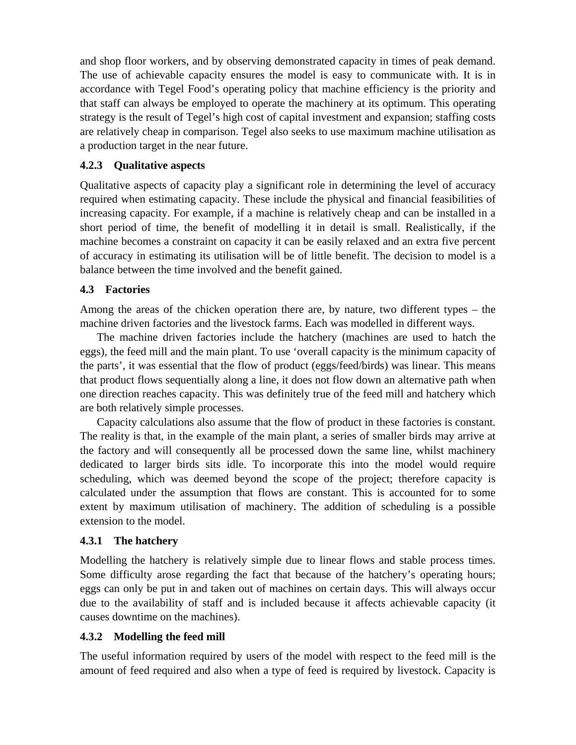and shop floor workers, and by observing demonstrated capacity in times of peak demand. The use of achievable capacity ensures the model is easy to communicate with. It is in accordance with Tegel Food's operating policy that machine efficiency is the priority and that staff can always be employed to operate the machinery at its optimum. This operating strategy is the result of Tegel's high cost of capital investment and expansion; staffing costs are relatively cheap in comparison. Tegel also seeks to use maximum machine utilisation as a production target in the near future.

## **4.2.3 Qualitative aspects**

Qualitative aspects of capacity play a significant role in determining the level of accuracy required when estimating capacity. These include the physical and financial feasibilities of increasing capacity. For example, if a machine is relatively cheap and can be installed in a short period of time, the benefit of modelling it in detail is small. Realistically, if the machine becomes a constraint on capacity it can be easily relaxed and an extra five percent of accuracy in estimating its utilisation will be of little benefit. The decision to model is a balance between the time involved and the benefit gained.

## **4.3 Factories**

Among the areas of the chicken operation there are, by nature, two different types – the machine driven factories and the livestock farms. Each was modelled in different ways.

The machine driven factories include the hatchery (machines are used to hatch the eggs), the feed mill and the main plant. To use 'overall capacity is the minimum capacity of the parts', it was essential that the flow of product (eggs/feed/birds) was linear. This means that product flows sequentially along a line, it does not flow down an alternative path when one direction reaches capacity. This was definitely true of the feed mill and hatchery which are both relatively simple processes.

Capacity calculations also assume that the flow of product in these factories is constant. The reality is that, in the example of the main plant, a series of smaller birds may arrive at the factory and will consequently all be processed down the same line, whilst machinery dedicated to larger birds sits idle. To incorporate this into the model would require scheduling, which was deemed beyond the scope of the project; therefore capacity is calculated under the assumption that flows are constant. This is accounted for to some extent by maximum utilisation of machinery. The addition of scheduling is a possible extension to the model.

## **4.3.1 The hatchery**

Modelling the hatchery is relatively simple due to linear flows and stable process times. Some difficulty arose regarding the fact that because of the hatchery's operating hours; eggs can only be put in and taken out of machines on certain days. This will always occur due to the availability of staff and is included because it affects achievable capacity (it causes downtime on the machines).

# **4.3.2 Modelling the feed mill**

The useful information required by users of the model with respect to the feed mill is the amount of feed required and also when a type of feed is required by livestock. Capacity is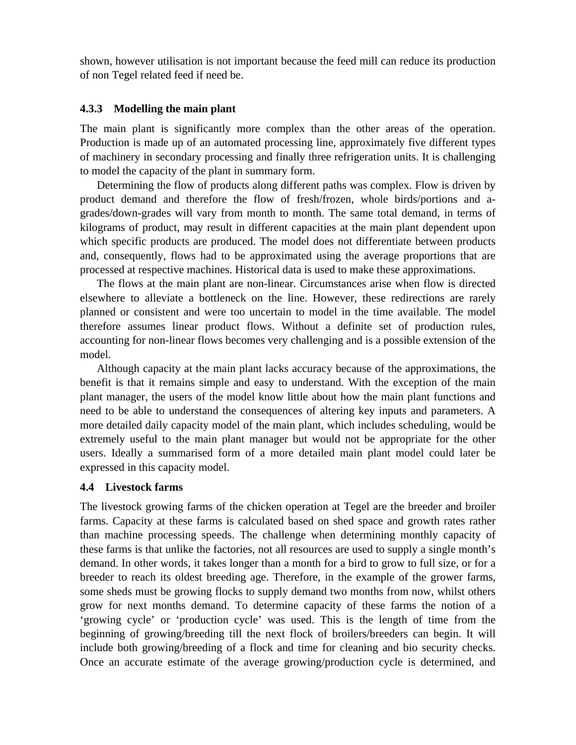shown, however utilisation is not important because the feed mill can reduce its production of non Tegel related feed if need be.

## **4.3.3 Modelling the main plant**

The main plant is significantly more complex than the other areas of the operation. Production is made up of an automated processing line, approximately five different types of machinery in secondary processing and finally three refrigeration units. It is challenging to model the capacity of the plant in summary form.

Determining the flow of products along different paths was complex. Flow is driven by product demand and therefore the flow of fresh/frozen, whole birds/portions and agrades/down-grades will vary from month to month. The same total demand, in terms of kilograms of product, may result in different capacities at the main plant dependent upon which specific products are produced. The model does not differentiate between products and, consequently, flows had to be approximated using the average proportions that are processed at respective machines. Historical data is used to make these approximations.

The flows at the main plant are non-linear. Circumstances arise when flow is directed elsewhere to alleviate a bottleneck on the line. However, these redirections are rarely planned or consistent and were too uncertain to model in the time available. The model therefore assumes linear product flows. Without a definite set of production rules, accounting for non-linear flows becomes very challenging and is a possible extension of the model.

Although capacity at the main plant lacks accuracy because of the approximations, the benefit is that it remains simple and easy to understand. With the exception of the main plant manager, the users of the model know little about how the main plant functions and need to be able to understand the consequences of altering key inputs and parameters. A more detailed daily capacity model of the main plant, which includes scheduling, would be extremely useful to the main plant manager but would not be appropriate for the other users. Ideally a summarised form of a more detailed main plant model could later be expressed in this capacity model.

## **4.4 Livestock farms**

The livestock growing farms of the chicken operation at Tegel are the breeder and broiler farms. Capacity at these farms is calculated based on shed space and growth rates rather than machine processing speeds. The challenge when determining monthly capacity of these farms is that unlike the factories, not all resources are used to supply a single month's demand. In other words, it takes longer than a month for a bird to grow to full size, or for a breeder to reach its oldest breeding age. Therefore, in the example of the grower farms, some sheds must be growing flocks to supply demand two months from now, whilst others grow for next months demand. To determine capacity of these farms the notion of a 'growing cycle' or 'production cycle' was used. This is the length of time from the beginning of growing/breeding till the next flock of broilers/breeders can begin. It will include both growing/breeding of a flock and time for cleaning and bio security checks. Once an accurate estimate of the average growing/production cycle is determined, and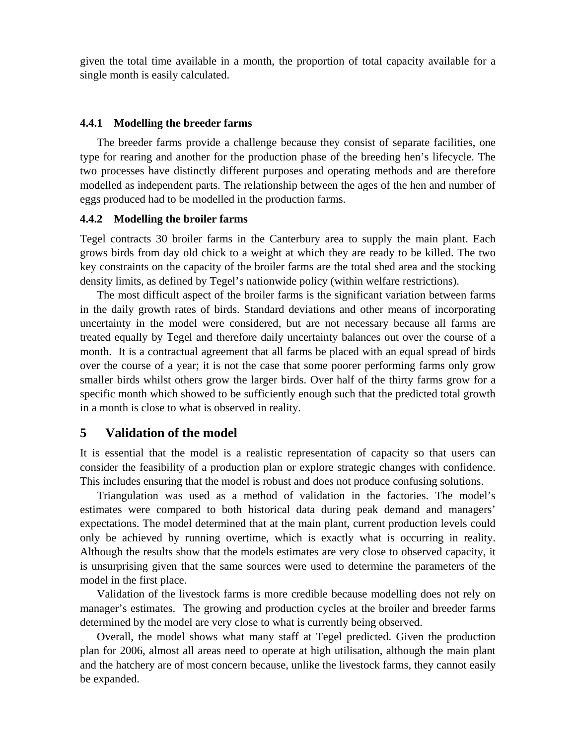given the total time available in a month, the proportion of total capacity available for a single month is easily calculated.

#### **4.4.1 Modelling the breeder farms**

The breeder farms provide a challenge because they consist of separate facilities, one type for rearing and another for the production phase of the breeding hen's lifecycle. The two processes have distinctly different purposes and operating methods and are therefore modelled as independent parts. The relationship between the ages of the hen and number of eggs produced had to be modelled in the production farms.

#### **4.4.2 Modelling the broiler farms**

Tegel contracts 30 broiler farms in the Canterbury area to supply the main plant. Each grows birds from day old chick to a weight at which they are ready to be killed. The two key constraints on the capacity of the broiler farms are the total shed area and the stocking density limits, as defined by Tegel's nationwide policy (within welfare restrictions).

The most difficult aspect of the broiler farms is the significant variation between farms in the daily growth rates of birds. Standard deviations and other means of incorporating uncertainty in the model were considered, but are not necessary because all farms are treated equally by Tegel and therefore daily uncertainty balances out over the course of a month. It is a contractual agreement that all farms be placed with an equal spread of birds over the course of a year; it is not the case that some poorer performing farms only grow smaller birds whilst others grow the larger birds. Over half of the thirty farms grow for a specific month which showed to be sufficiently enough such that the predicted total growth in a month is close to what is observed in reality.

## **5 Validation of the model**

It is essential that the model is a realistic representation of capacity so that users can consider the feasibility of a production plan or explore strategic changes with confidence. This includes ensuring that the model is robust and does not produce confusing solutions.

Triangulation was used as a method of validation in the factories. The model's estimates were compared to both historical data during peak demand and managers' expectations. The model determined that at the main plant, current production levels could only be achieved by running overtime, which is exactly what is occurring in reality. Although the results show that the models estimates are very close to observed capacity, it is unsurprising given that the same sources were used to determine the parameters of the model in the first place.

Validation of the livestock farms is more credible because modelling does not rely on manager's estimates. The growing and production cycles at the broiler and breeder farms determined by the model are very close to what is currently being observed.

Overall, the model shows what many staff at Tegel predicted. Given the production plan for 2006, almost all areas need to operate at high utilisation, although the main plant and the hatchery are of most concern because, unlike the livestock farms, they cannot easily be expanded.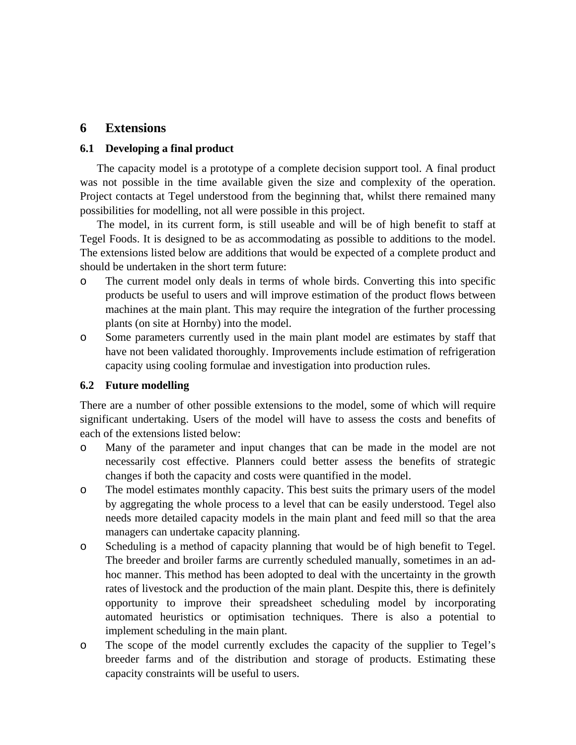# **6 Extensions**

#### **6.1 Developing a final product**

The capacity model is a prototype of a complete decision support tool. A final product was not possible in the time available given the size and complexity of the operation. Project contacts at Tegel understood from the beginning that, whilst there remained many possibilities for modelling, not all were possible in this project.

The model, in its current form, is still useable and will be of high benefit to staff at Tegel Foods. It is designed to be as accommodating as possible to additions to the model. The extensions listed below are additions that would be expected of a complete product and should be undertaken in the short term future:

- o The current model only deals in terms of whole birds. Converting this into specific products be useful to users and will improve estimation of the product flows between machines at the main plant. This may require the integration of the further processing plants (on site at Hornby) into the model.
- o Some parameters currently used in the main plant model are estimates by staff that have not been validated thoroughly. Improvements include estimation of refrigeration capacity using cooling formulae and investigation into production rules.

## **6.2 Future modelling**

There are a number of other possible extensions to the model, some of which will require significant undertaking. Users of the model will have to assess the costs and benefits of each of the extensions listed below:

- o Many of the parameter and input changes that can be made in the model are not necessarily cost effective. Planners could better assess the benefits of strategic changes if both the capacity and costs were quantified in the model.
- o The model estimates monthly capacity. This best suits the primary users of the model by aggregating the whole process to a level that can be easily understood. Tegel also needs more detailed capacity models in the main plant and feed mill so that the area managers can undertake capacity planning.
- o Scheduling is a method of capacity planning that would be of high benefit to Tegel. The breeder and broiler farms are currently scheduled manually, sometimes in an adhoc manner. This method has been adopted to deal with the uncertainty in the growth rates of livestock and the production of the main plant. Despite this, there is definitely opportunity to improve their spreadsheet scheduling model by incorporating automated heuristics or optimisation techniques. There is also a potential to implement scheduling in the main plant.
- o The scope of the model currently excludes the capacity of the supplier to Tegel's breeder farms and of the distribution and storage of products. Estimating these capacity constraints will be useful to users.